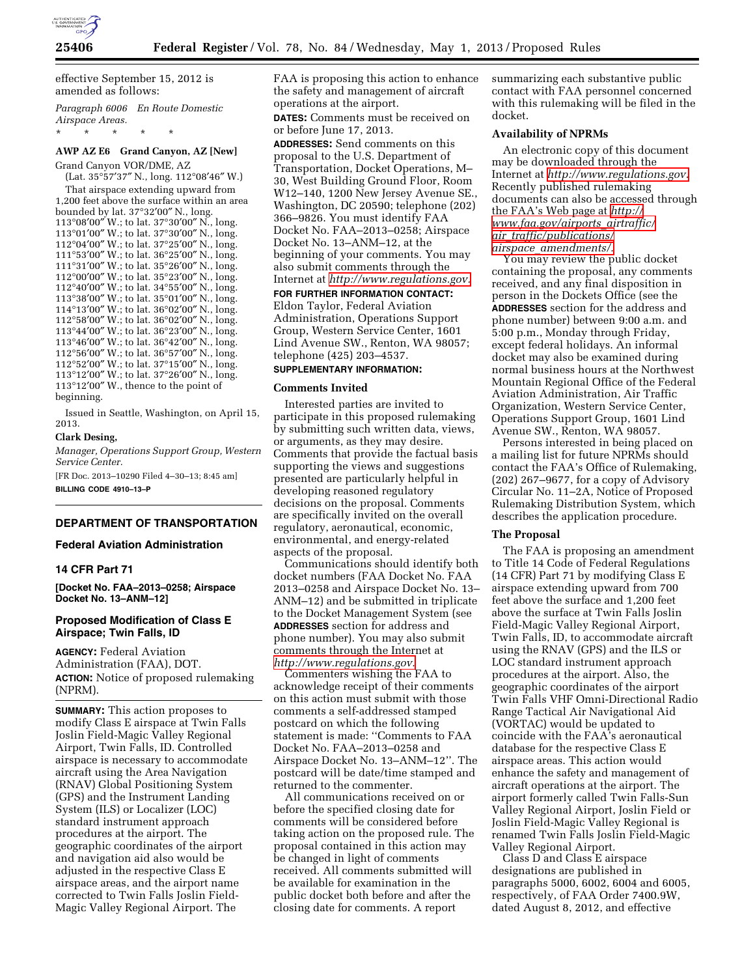

effective September 15, 2012 is amended as follows:

*Paragraph 6006 En Route Domestic Airspace Areas.* 

\* \* \* \* \*

# **AWP AZ E6 Grand Canyon, AZ [New]**

Grand Canyon VOR/DME, AZ (Lat. 35°57′37″ N., long. 112°08′46″ W.) That airspace extending upward from 1,200 feet above the surface within an area bounded by lat. 37°32′00″ N., long. °08′00″ W.; to lat. 37°30′00″ N., long. °01′00″ W.; to lat. 37°30′00″ N., long. °04′00″ W.; to lat. 37°25′00″ N., long. °53′00″ W.; to lat. 36°25′00″ N., long. °31′00″ W.; to lat. 35°26′00″ N., long. °00′00″ W.; to lat. 35°23′00″ N., long. °40′00″ W.; to lat. 34°55′00″ N., long. °38′00″ W.; to lat. 35°01′00″ N., long. °13′00″ W.; to lat. 36°02′00″ N., long. °58′00″ W.; to lat. 36°02′00″ N., long. °44′00″ W.; to lat. 36°23′00″ N., long. °46′00″ W.; to lat. 36°42′00″ N., long. °56′00″ W.; to lat. 36°57′00″ N., long. °52′00″ W.; to lat. 37°15′00″ N., long. °12′00″ W.; to lat. 37°26′00″ N., long. °12′00″ W., thence to the point of beginning.

Issued in Seattle, Washington, on April 15, 2013.

# **Clark Desing,**

*Manager, Operations Support Group, Western Service Center.* 

[FR Doc. 2013–10290 Filed 4–30–13; 8:45 am] **BILLING CODE 4910–13–P** 

### **DEPARTMENT OF TRANSPORTATION**

#### **Federal Aviation Administration**

### **14 CFR Part 71**

**[Docket No. FAA–2013–0258; Airspace Docket No. 13–ANM–12]** 

## **Proposed Modification of Class E Airspace; Twin Falls, ID**

**AGENCY:** Federal Aviation Administration (FAA), DOT. **ACTION:** Notice of proposed rulemaking (NPRM).

**SUMMARY:** This action proposes to modify Class E airspace at Twin Falls Joslin Field-Magic Valley Regional Airport, Twin Falls, ID. Controlled airspace is necessary to accommodate aircraft using the Area Navigation (RNAV) Global Positioning System (GPS) and the Instrument Landing System (ILS) or Localizer (LOC) standard instrument approach procedures at the airport. The geographic coordinates of the airport and navigation aid also would be adjusted in the respective Class E airspace areas, and the airport name corrected to Twin Falls Joslin Field-Magic Valley Regional Airport. The

FAA is proposing this action to enhance the safety and management of aircraft operations at the airport.

**DATES:** Comments must be received on or before June 17, 2013.

**ADDRESSES:** Send comments on this proposal to the U.S. Department of Transportation, Docket Operations, M– 30, West Building Ground Floor, Room W12–140, 1200 New Jersey Avenue SE., Washington, DC 20590; telephone (202) 366–9826. You must identify FAA Docket No. FAA–2013–0258; Airspace Docket No. 13–ANM–12, at the beginning of your comments. You may also submit comments through the Internet at *[http://www.regulations.gov.](http://www.regulations.gov)* 

**FOR FURTHER INFORMATION CONTACT:**  Eldon Taylor, Federal Aviation Administration, Operations Support Group, Western Service Center, 1601 Lind Avenue SW., Renton, WA 98057; telephone (425) 203–4537.

# **SUPPLEMENTARY INFORMATION:**

#### **Comments Invited**

Interested parties are invited to participate in this proposed rulemaking by submitting such written data, views, or arguments, as they may desire. Comments that provide the factual basis supporting the views and suggestions presented are particularly helpful in developing reasoned regulatory decisions on the proposal. Comments are specifically invited on the overall regulatory, aeronautical, economic, environmental, and energy-related aspects of the proposal.

Communications should identify both docket numbers (FAA Docket No. FAA 2013–0258 and Airspace Docket No. 13– ANM–12) and be submitted in triplicate to the Docket Management System (see **ADDRESSES** section for address and phone number). You may also submit comments through the Internet at *[http://www.regulations.gov.](http://www.regulations.gov)* 

Commenters wishing the FAA to acknowledge receipt of their comments on this action must submit with those comments a self-addressed stamped postcard on which the following statement is made: ''Comments to FAA Docket No. FAA–2013–0258 and Airspace Docket No. 13–ANM–12''. The postcard will be date/time stamped and returned to the commenter.

All communications received on or before the specified closing date for comments will be considered before taking action on the proposed rule. The proposal contained in this action may be changed in light of comments received. All comments submitted will be available for examination in the public docket both before and after the closing date for comments. A report

summarizing each substantive public contact with FAA personnel concerned with this rulemaking will be filed in the docket.

# **Availability of NPRMs**

An electronic copy of this document may be downloaded through the Internet at *[http://www.regulations.gov.](http://www.regulations.gov)*  Recently published rulemaking documents can also be accessed through the FAA's Web page at *[http://](http://www.faa.gov/airports_airtraffic/air_traffic/publications/airspace_amendments/)  [www.faa.gov/airports](http://www.faa.gov/airports_airtraffic/air_traffic/publications/airspace_amendments/)*\_*airtraffic/ air*\_*[traffic/publications/](http://www.faa.gov/airports_airtraffic/air_traffic/publications/airspace_amendments/) airspace*\_*[amendments/.](http://www.faa.gov/airports_airtraffic/air_traffic/publications/airspace_amendments/)* 

You may review the public docket containing the proposal, any comments received, and any final disposition in person in the Dockets Office (see the **ADDRESSES** section for the address and phone number) between 9:00 a.m. and 5:00 p.m., Monday through Friday, except federal holidays. An informal docket may also be examined during normal business hours at the Northwest Mountain Regional Office of the Federal Aviation Administration, Air Traffic Organization, Western Service Center, Operations Support Group, 1601 Lind Avenue SW., Renton, WA 98057.

Persons interested in being placed on a mailing list for future NPRMs should contact the FAA's Office of Rulemaking, (202) 267–9677, for a copy of Advisory Circular No. 11–2A, Notice of Proposed Rulemaking Distribution System, which describes the application procedure.

### **The Proposal**

The FAA is proposing an amendment to Title 14 Code of Federal Regulations (14 CFR) Part 71 by modifying Class E airspace extending upward from 700 feet above the surface and 1,200 feet above the surface at Twin Falls Joslin Field-Magic Valley Regional Airport, Twin Falls, ID, to accommodate aircraft using the RNAV (GPS) and the ILS or LOC standard instrument approach procedures at the airport. Also, the geographic coordinates of the airport Twin Falls VHF Omni-Directional Radio Range Tactical Air Navigational Aid (VORTAC) would be updated to coincide with the FAA's aeronautical database for the respective Class E airspace areas. This action would enhance the safety and management of aircraft operations at the airport. The airport formerly called Twin Falls-Sun Valley Regional Airport, Joslin Field or Joslin Field-Magic Valley Regional is renamed Twin Falls Joslin Field-Magic Valley Regional Airport.

Class D and Class E airspace designations are published in paragraphs 5000, 6002, 6004 and 6005, respectively, of FAA Order 7400.9W, dated August 8, 2012, and effective